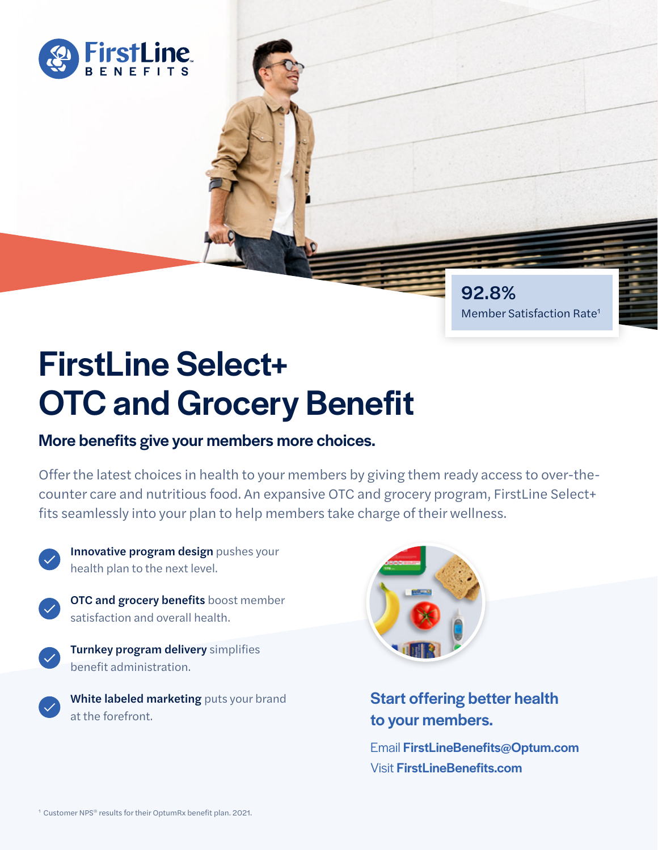

# FirstLine Select+

## OTC and Grocery Benefit

#### More benefits give your members more choices.

Offer the latest choices in health to your members by giving them ready access to over-thecounter care and nutritious food. An expansive OTC and grocery program, FirstLine Select+ fits seamlessly into your plan to help members take charge of their wellness.



Innovative program design pushes your health plan to the next level.



**OTC and grocery benefits** boost member satisfaction and overall health.

**Turnkey program delivery** simplifies benefit administration.

White labeled marketing puts your brand at the forefront.



#### Start offering better health to your members.

92.8%

Member Satisfaction Rate1

Email FirstLineBenefits@Optum.com Visit FirstLineBenefits.com